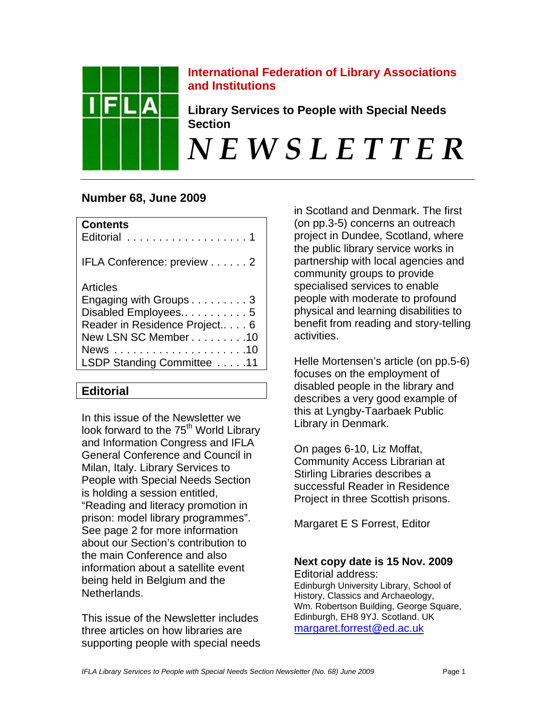

# **International Federation of Library Associations and Institutions**

**Library Services to People with Special Needs Section** 

*N E W S L E T T E R* 

# **Number 68, June 2009**

| <b>Contents</b><br>Editorial 1 |
|--------------------------------|
| IFLA Conference: preview 2     |
| Articles                       |
| Engaging with Groups 3         |
| Disabled Employees5            |
| Reader in Residence Project 6  |
| New LSN SC Member 10           |
|                                |
| LSDP Standing Committee 11     |
|                                |

# **Editorial**

In this issue of the Newsletter we look forward to the 75<sup>th</sup> World Library and Information Congress and IFLA General Conference and Council in Milan, Italy. Library Services to People with Special Needs Section is holding a session entitled, "Reading and literacy promotion in prison: model library programmes". See page 2 for more information about our Section's contribution to the main Conference and also information about a satellite event being held in Belgium and the Netherlands.

This issue of the Newsletter includes three articles on how libraries are supporting people with special needs in Scotland and Denmark. The first (on pp.3-5) concerns an outreach project in Dundee, Scotland, where the public library service works in partnership with local agencies and community groups to provide specialised services to enable people with moderate to profound physical and learning disabilities to benefit from reading and story-telling activities.

Helle Mortensen's article (on pp.5-6) focuses on the employment of disabled people in the library and describes a very good example of this at Lyngby-Taarbaek Public Library in Denmark.

On pages 6-10, Liz Moffat, Community Access Librarian at Stirling Libraries describes a successful Reader in Residence Project in three Scottish prisons.

Margaret E S Forrest, Editor

# **Next copy date is 15 Nov. 2009**

Editorial address: Edinburgh University Library, School of History, Classics and Archaeology, Wm. Robertson Building, George Square, Edinburgh, EH8 9YJ. Scotland. UK [margaret.forrest@ed.ac.uk](mailto:margaret.forrest@ed.ac.uk)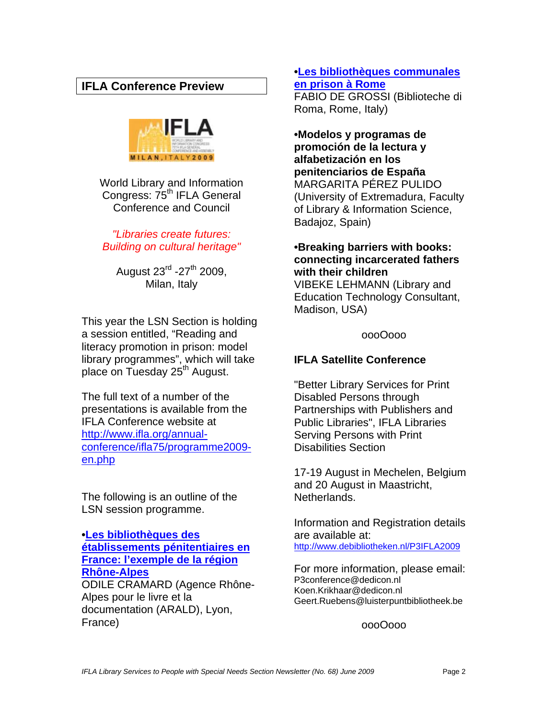# **IFLA Conference Preview**



World Library and Information Congress: 75<sup>th</sup> IFLA General Conference and Council

*"Libraries create futures: Building on cultural heritage"* 

August  $23^{\text{rd}}$  -27<sup>th</sup> 2009, Milan, Italy

This year the LSN Section is holding a session entitled, "Reading and literacy promotion in prison: model library programmes", which will take place on Tuesday 25th August.

The full text of a number of the presentations is available from the IFLA Conference website at [http://www.ifla.org/annual](http://www.ifla.org/annual-conference/ifla75/programme2009-en.php)[conference/ifla75/programme2009](http://www.ifla.org/annual-conference/ifla75/programme2009-en.php) [en.php](http://www.ifla.org/annual-conference/ifla75/programme2009-en.php)

The following is an outline of the LSN session programme.

#### **[•Les bibliothèques des](http://www.ifla.org/files/hq/papers/ifla75/134-cramard-fr.pdf)  [établissements pénitentiaires en](http://www.ifla.org/files/hq/papers/ifla75/134-cramard-fr.pdf)  [France: l'exemple de la région](http://www.ifla.org/files/hq/papers/ifla75/134-cramard-fr.pdf)  [Rhône-Alpes](http://www.ifla.org/files/hq/papers/ifla75/134-cramard-fr.pdf)** ODILE CRAMARD (Agence Rhône-Alpes pour le livre et la documentation (ARALD), Lyon, France)

# **[•Les bibliothèques communales](http://www.ifla.org/files/hq/papers/ifla75/134-grossi-fr.pdf)  [en prison à Rome](http://www.ifla.org/files/hq/papers/ifla75/134-grossi-fr.pdf)**

FABIO DE GROSSI (Biblioteche di Roma, Rome, Italy)

**•Modelos y programas de promoción de la lectura y alfabetización en los penitenciarios de España**  MARGARITA PÉREZ PULIDO (University of Extremadura, Faculty of Library & Information Science, Badajoz, Spain)

# **•Breaking barriers with books: connecting incarcerated fathers with their children**

VIBEKE LEHMANN (Library and Education Technology Consultant, Madison, USA)

oooOooo

# **IFLA Satellite Conference**

"Better Library Services for Print Disabled Persons through Partnerships with Publishers and Public Libraries", IFLA Libraries Serving Persons with Print Disabilities Section

17-19 August in Mechelen, Belgium and 20 August in Maastricht, Netherlands.

Information and Registration details are available at: <http://www.debibliotheken.nl/P3IFLA2009>

For more information, please email: P3conference@dedicon.nl Koen.Krikhaar@dedicon.nl Geert.Ruebens@luisterpuntbibliotheek.be

oooOooo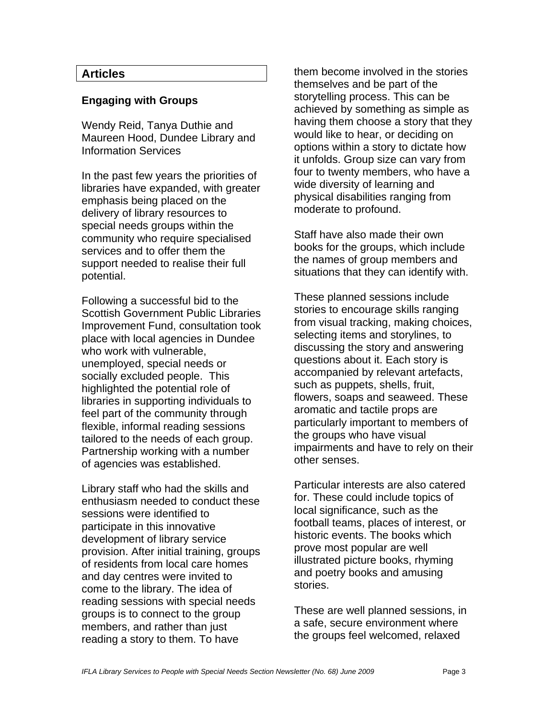### **Articles**

#### **Engaging with Groups**

Wendy Reid, Tanya Duthie and Maureen Hood, Dundee Library and Information Services

In the past few years the priorities of libraries have expanded, with greater emphasis being placed on the delivery of library resources to special needs groups within the community who require specialised services and to offer them the support needed to realise their full potential.

Following a successful bid to the Scottish Government Public Libraries Improvement Fund, consultation took place with local agencies in Dundee who work with vulnerable, unemployed, special needs or socially excluded people. This highlighted the potential role of libraries in supporting individuals to feel part of the community through flexible, informal reading sessions tailored to the needs of each group. Partnership working with a number of agencies was established.

Library staff who had the skills and enthusiasm needed to conduct these sessions were identified to participate in this innovative development of library service provision. After initial training, groups of residents from local care homes and day centres were invited to come to the library. The idea of reading sessions with special needs groups is to connect to the group members, and rather than just reading a story to them. To have

them become involved in the stories themselves and be part of the storytelling process. This can be achieved by something as simple as having them choose a story that they would like to hear, or deciding on options within a story to dictate how it unfolds. Group size can vary from four to twenty members, who have a wide diversity of learning and physical disabilities ranging from moderate to profound.

Staff have also made their own books for the groups, which include the names of group members and situations that they can identify with.

These planned sessions include stories to encourage skills ranging from visual tracking, making choices, selecting items and storylines, to discussing the story and answering questions about it. Each story is accompanied by relevant artefacts, such as puppets, shells, fruit, flowers, soaps and seaweed. These aromatic and tactile props are particularly important to members of the groups who have visual impairments and have to rely on their other senses.

Particular interests are also catered for. These could include topics of local significance, such as the football teams, places of interest, or historic events. The books which prove most popular are well illustrated picture books, rhyming and poetry books and amusing stories.

These are well planned sessions, in a safe, secure environment where the groups feel welcomed, relaxed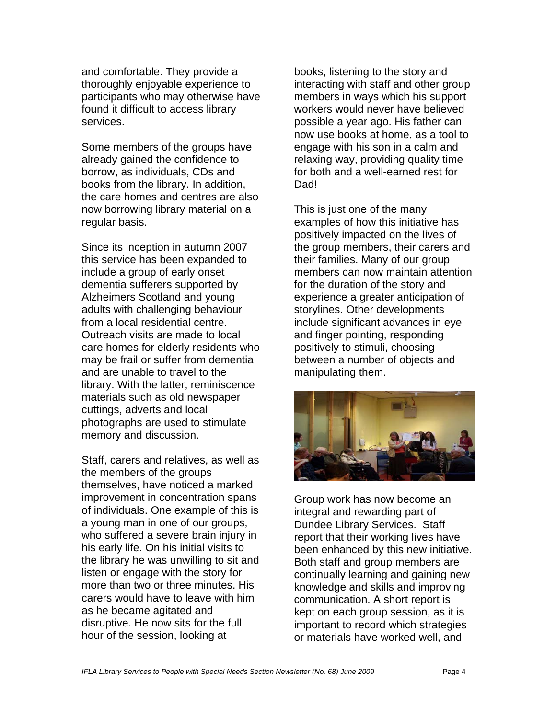and comfortable. They provide a thoroughly enjoyable experience to participants who may otherwise have found it difficult to access library services.

Some members of the groups have already gained the confidence to borrow, as individuals, CDs and books from the library. In addition, the care homes and centres are also now borrowing library material on a regular basis.

Since its inception in autumn 2007 this service has been expanded to include a group of early onset dementia sufferers supported by Alzheimers Scotland and young adults with challenging behaviour from a local residential centre. Outreach visits are made to local care homes for elderly residents who may be frail or suffer from dementia and are unable to travel to the library. With the latter, reminiscence materials such as old newspaper cuttings, adverts and local photographs are used to stimulate memory and discussion.

Staff, carers and relatives, as well as the members of the groups themselves, have noticed a marked improvement in concentration spans of individuals. One example of this is a young man in one of our groups, who suffered a severe brain injury in his early life. On his initial visits to the library he was unwilling to sit and listen or engage with the story for more than two or three minutes. His carers would have to leave with him as he became agitated and disruptive. He now sits for the full hour of the session, looking at

books, listening to the story and interacting with staff and other group members in ways which his support workers would never have believed possible a year ago. His father can now use books at home, as a tool to engage with his son in a calm and relaxing way, providing quality time for both and a well-earned rest for Dad!

This is just one of the many examples of how this initiative has positively impacted on the lives of the group members, their carers and their families. Many of our group members can now maintain attention for the duration of the story and experience a greater anticipation of storylines. Other developments include significant advances in eye and finger pointing, responding positively to stimuli, choosing between a number of objects and manipulating them.



Group work has now become an integral and rewarding part of Dundee Library Services. Staff report that their working lives have been enhanced by this new initiative. Both staff and group members are continually learning and gaining new knowledge and skills and improving communication. A short report is kept on each group session, as it is important to record which strategies or materials have worked well, and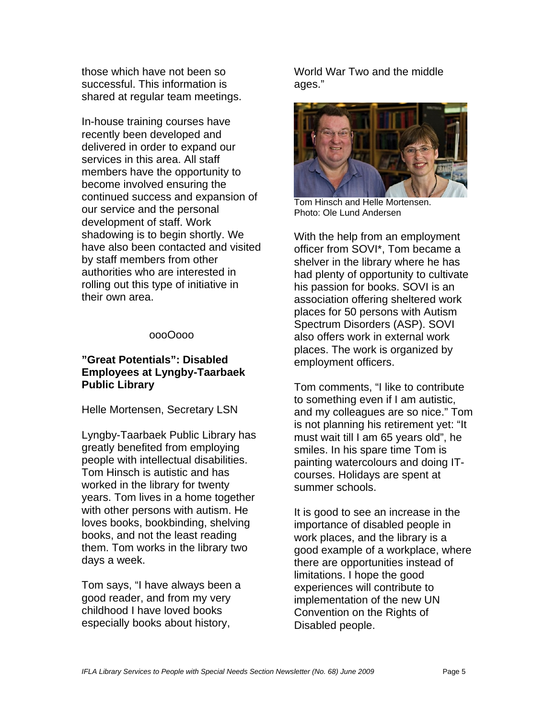those which have not been so successful. This information is shared at regular team meetings.

In-house training courses have recently been developed and delivered in order to expand our services in this area. All staff members have the opportunity to become involved ensuring the continued success and expansion of our service and the personal development of staff. Work shadowing is to begin shortly. We have also been contacted and visited by staff members from other authorities who are interested in rolling out this type of initiative in their own area.

#### oooOooo

### **"Great Potentials": Disabled Employees at Lyngby-Taarbaek Public Library**

Helle Mortensen, Secretary LSN

Lyngby-Taarbaek Public Library has greatly benefited from employing people with intellectual disabilities. Tom Hinsch is autistic and has worked in the library for twenty years. Tom lives in a home together with other persons with autism. He loves books, bookbinding, shelving books, and not the least reading them. Tom works in the library two days a week.

Tom says, "I have always been a good reader, and from my very childhood I have loved books especially books about history,

World War Two and the middle ages."



Tom Hinsch and Helle Mortensen. Photo: Ole Lund Andersen

With the help from an employment officer from SOVI\*, Tom became a shelver in the library where he has had plenty of opportunity to cultivate his passion for books. SOVI is an association offering sheltered work places for 50 persons with Autism Spectrum Disorders (ASP). SOVI also offers work in external work places. The work is organized by employment officers.

Tom comments, "I like to contribute to something even if I am autistic, and my colleagues are so nice." Tom is not planning his retirement yet: "It must wait till I am 65 years old", he smiles. In his spare time Tom is painting watercolours and doing ITcourses. Holidays are spent at summer schools.

It is good to see an increase in the importance of disabled people in work places, and the library is a good example of a workplace, where there are opportunities instead of limitations. I hope the good experiences will contribute to implementation of the new UN Convention on the Rights of Disabled people.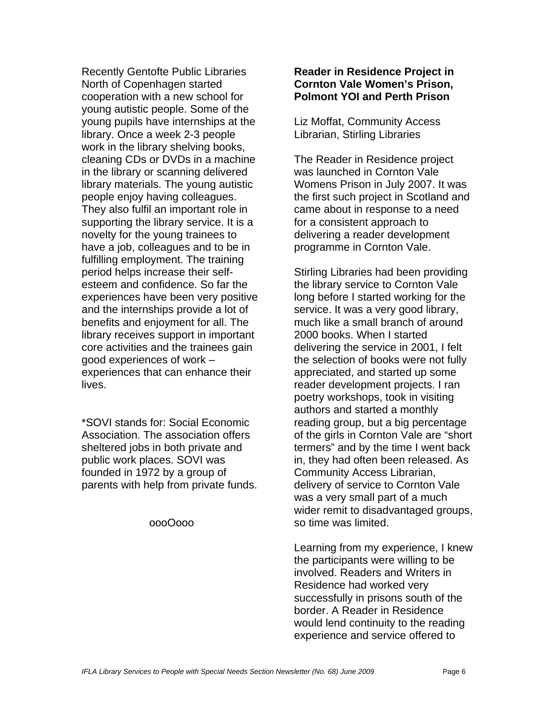Recently Gentofte Public Libraries North of Copenhagen started cooperation with a new school for young autistic people. Some of the young pupils have internships at the library. Once a week 2-3 people work in the library shelving books, cleaning CDs or DVDs in a machine in the library or scanning delivered library materials. The young autistic people enjoy having colleagues. They also fulfil an important role in supporting the library service. It is a novelty for the young trainees to have a job, colleagues and to be in fulfilling employment. The training period helps increase their selfesteem and confidence. So far the experiences have been very positive and the internships provide a lot of benefits and enjoyment for all. The library receives support in important core activities and the trainees gain good experiences of work – experiences that can enhance their lives.

\*SOVI stands for: Social Economic Association. The association offers sheltered jobs in both private and public work places. SOVI was founded in 1972 by a group of parents with help from private funds.

#### oooOooo

#### **Reader in Residence Project in Cornton Vale Women's Prison, Polmont YOI and Perth Prison**

Liz Moffat, Community Access Librarian, Stirling Libraries

The Reader in Residence project was launched in Cornton Vale Womens Prison in July 2007. It was the first such project in Scotland and came about in response to a need for a consistent approach to delivering a reader development programme in Cornton Vale.

Stirling Libraries had been providing the library service to Cornton Vale long before I started working for the service. It was a very good library, much like a small branch of around 2000 books. When I started delivering the service in 2001, I felt the selection of books were not fully appreciated, and started up some reader development projects. I ran poetry workshops, took in visiting authors and started a monthly reading group, but a big percentage of the girls in Cornton Vale are "short termers" and by the time I went back in, they had often been released. As Community Access Librarian, delivery of service to Cornton Vale was a very small part of a much wider remit to disadvantaged groups, so time was limited.

Learning from my experience, I knew the participants were willing to be involved. Readers and Writers in Residence had worked very successfully in prisons south of the border. A Reader in Residence would lend continuity to the reading experience and service offered to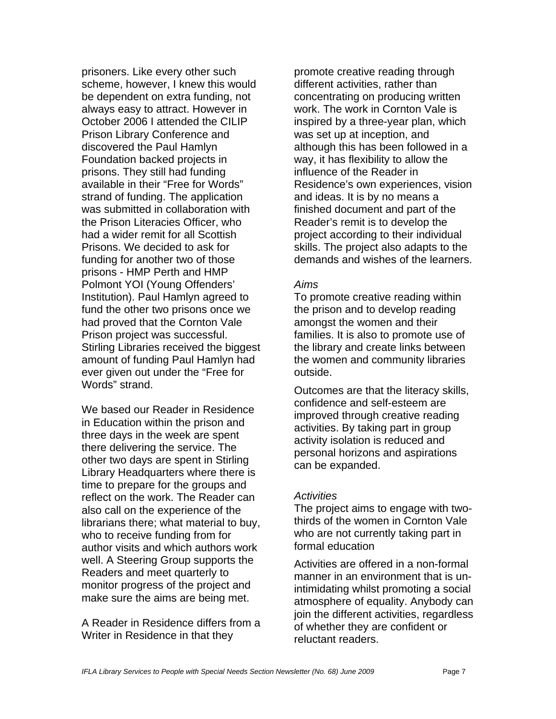prisoners. Like every other such scheme, however, I knew this would be dependent on extra funding, not always easy to attract. However in October 2006 I attended the CILIP Prison Library Conference and discovered the Paul Hamlyn Foundation backed projects in prisons. They still had funding available in their "Free for Words" strand of funding. The application was submitted in collaboration with the Prison Literacies Officer, who had a wider remit for all Scottish Prisons. We decided to ask for funding for another two of those prisons - HMP Perth and HMP Polmont YOI (Young Offenders' Institution). Paul Hamlyn agreed to fund the other two prisons once we had proved that the Cornton Vale Prison project was successful. Stirling Libraries received the biggest amount of funding Paul Hamlyn had ever given out under the "Free for Words" strand.

We based our Reader in Residence in Education within the prison and three days in the week are spent there delivering the service. The other two days are spent in Stirling Library Headquarters where there is time to prepare for the groups and reflect on the work. The Reader can also call on the experience of the librarians there; what material to buy, who to receive funding from for author visits and which authors work well. A Steering Group supports the Readers and meet quarterly to monitor progress of the project and make sure the aims are being met.

A Reader in Residence differs from a Writer in Residence in that they

promote creative reading through different activities, rather than concentrating on producing written work. The work in Cornton Vale is inspired by a three-year plan, which was set up at inception, and although this has been followed in a way, it has flexibility to allow the influence of the Reader in Residence's own experiences, vision and ideas. It is by no means a finished document and part of the Reader's remit is to develop the project according to their individual skills. The project also adapts to the demands and wishes of the learners.

#### *Aims*

To promote creative reading within the prison and to develop reading amongst the women and their families. It is also to promote use of the library and create links between the women and community libraries outside.

Outcomes are that the literacy skills, confidence and self-esteem are improved through creative reading activities. By taking part in group activity isolation is reduced and personal horizons and aspirations can be expanded.

### *Activities*

The project aims to engage with twothirds of the women in Cornton Vale who are not currently taking part in formal education

Activities are offered in a non-formal manner in an environment that is unintimidating whilst promoting a social atmosphere of equality. Anybody can join the different activities, regardless of whether they are confident or reluctant readers.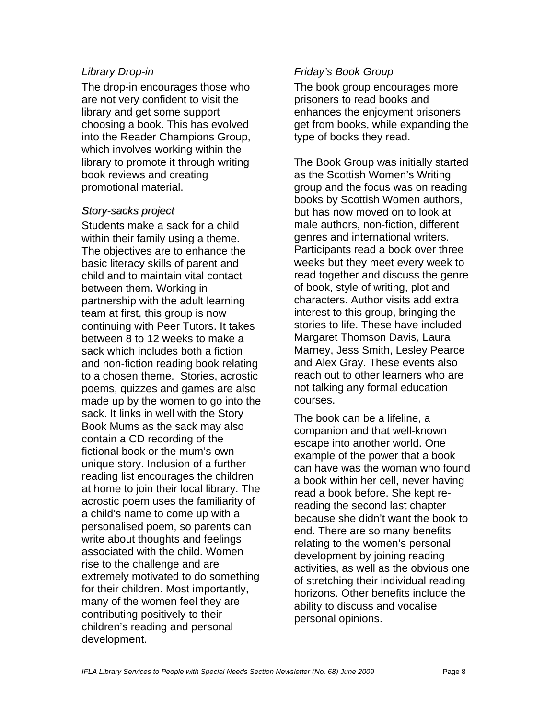#### *Library Drop-in*

The drop-in encourages those who are not very confident to visit the library and get some support choosing a book. This has evolved into the Reader Champions Group, which involves working within the library to promote it through writing book reviews and creating promotional material.

### *Story-sacks project*

Students make a sack for a child within their family using a theme. The objectives are to enhance the basic literacy skills of parent and child and to maintain vital contact between them**.** Working in partnership with the adult learning team at first, this group is now continuing with Peer Tutors. It takes between 8 to 12 weeks to make a sack which includes both a fiction and non-fiction reading book relating to a chosen theme. Stories, acrostic poems, quizzes and games are also made up by the women to go into the sack. It links in well with the Story Book Mums as the sack may also contain a CD recording of the fictional book or the mum's own unique story. Inclusion of a further reading list encourages the children at home to join their local library. The acrostic poem uses the familiarity of a child's name to come up with a personalised poem, so parents can write about thoughts and feelings associated with the child. Women rise to the challenge and are extremely motivated to do something for their children. Most importantly, many of the women feel they are contributing positively to their children's reading and personal development.

### *Friday's Book Group*

The book group encourages more prisoners to read books and enhances the enjoyment prisoners get from books, while expanding the type of books they read.

The Book Group was initially started as the Scottish Women's Writing group and the focus was on reading books by Scottish Women authors, but has now moved on to look at male authors, non-fiction, different genres and international writers. Participants read a book over three weeks but they meet every week to read together and discuss the genre of book, style of writing, plot and characters. Author visits add extra interest to this group, bringing the stories to life. These have included Margaret Thomson Davis, Laura Marney, Jess Smith, Lesley Pearce and Alex Gray. These events also reach out to other learners who are not talking any formal education courses.

The book can be a lifeline, a companion and that well-known escape into another world. One example of the power that a book can have was the woman who found a book within her cell, never having read a book before. She kept rereading the second last chapter because she didn't want the book to end. There are so many benefits relating to the women's personal development by joining reading activities, as well as the obvious one of stretching their individual reading horizons. Other benefits include the ability to discuss and vocalise personal opinions.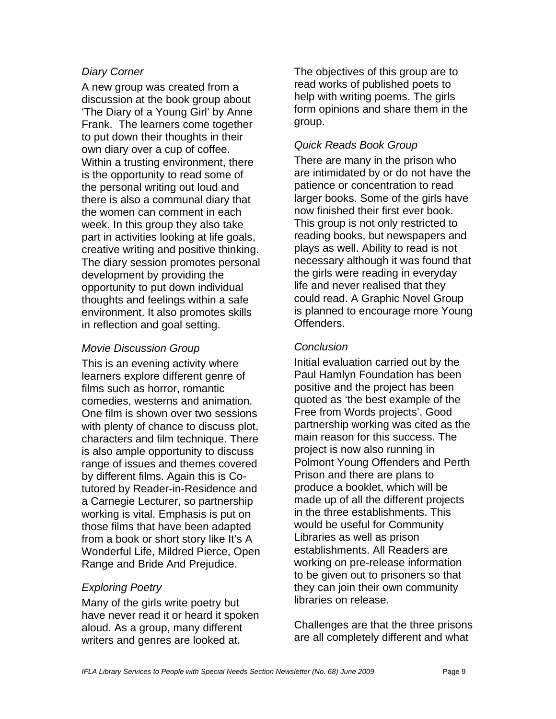## *Diary Corner*

A new group was created from a discussion at the book group about 'The Diary of a Young Girl' by Anne Frank. The learners come together to put down their thoughts in their own diary over a cup of coffee. Within a trusting environment, there is the opportunity to read some of the personal writing out loud and there is also a communal diary that the women can comment in each week. In this group they also take part in activities looking at life goals, creative writing and positive thinking. The diary session promotes personal development by providing the opportunity to put down individual thoughts and feelings within a safe environment. It also promotes skills in reflection and goal setting.

### *Movie Discussion Group*

This is an evening activity where learners explore different genre of films such as horror, romantic comedies, westerns and animation. One film is shown over two sessions with plenty of chance to discuss plot, characters and film technique. There is also ample opportunity to discuss range of issues and themes covered by different films. Again this is Cotutored by Reader-in-Residence and a Carnegie Lecturer, so partnership working is vital. Emphasis is put on those films that have been adapted from a book or short story like It's A Wonderful Life, Mildred Pierce, Open Range and Bride And Prejudice.

### *Exploring Poetry*

Many of the girls write poetry but have never read it or heard it spoken aloud. As a group, many different writers and genres are looked at.

The objectives of this group are to read works of published poets to help with writing poems. The girls form opinions and share them in the group.

### *Quick Reads Book Group*

There are many in the prison who are intimidated by or do not have the patience or concentration to read larger books. Some of the girls have now finished their first ever book. This group is not only restricted to reading books, but newspapers and plays as well. Ability to read is not necessary although it was found that the girls were reading in everyday life and never realised that they could read. A Graphic Novel Group is planned to encourage more Young Offenders.

### *Conclusion*

Initial evaluation carried out by the Paul Hamlyn Foundation has been positive and the project has been quoted as 'the best example of the Free from Words projects'. Good partnership working was cited as the main reason for this success. The project is now also running in Polmont Young Offenders and Perth Prison and there are plans to produce a booklet, which will be made up of all the different projects in the three establishments. This would be useful for Community Libraries as well as prison establishments. All Readers are working on pre-release information to be given out to prisoners so that they can join their own community libraries on release.

Challenges are that the three prisons are all completely different and what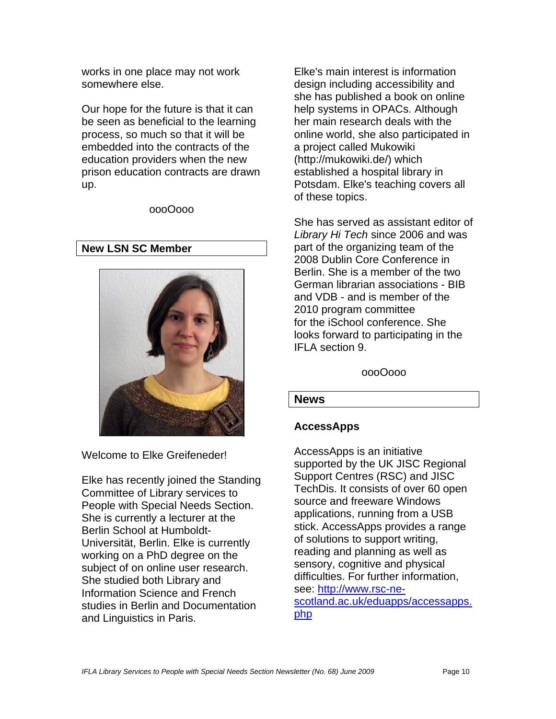works in one place may not work somewhere else.

Our hope for the future is that it can be seen as beneficial to the learning process, so much so that it will be embedded into the contracts of the education providers when the new prison education contracts are drawn up.

oooOooo

### **New LSN SC Member**



Welcome to Elke Greifeneder!

Elke has recently joined the Standing Committee of Library services to People with Special Needs Section. She is currently a lecturer at the Berlin School at Humboldt-Universität, Berlin. Elke is currently working on a PhD degree on the subject of on online user research. She studied both Library and Information Science and French studies in Berlin and Documentation and Linguistics in Paris.

Elke's main interest is information design including accessibility and she has published a book on online help systems in OPACs. Although her main research deals with the online world, she also participated in a project called Mukowiki (http://mukowiki.de/) which established a hospital library in Potsdam. Elke's teaching covers all of these topics.

She has served as assistant editor of *Library Hi Tech* since 2006 and was part of the organizing team of the 2008 Dublin Core Conference in Berlin. She is a member of the two German librarian associations - BIB and VDB - and is member of the 2010 program committee for the iSchool conference. She looks forward to participating in the IFLA section 9.

### oooOooo

### **News**

# **AccessApps**

AccessApps is an initiative supported by the UK JISC Regional Support Centres (RSC) and JISC TechDis. It consists of over 60 open source and freeware Windows applications, running from a USB stick. AccessApps provides a range of solutions to support writing, reading and planning as well as sensory, cognitive and physical difficulties. For further information, see: [http://www.rsc-ne](http://www.rsc-ne-scotland.ac.uk/eduapps/accessapps.php)[scotland.ac.uk/eduapps/accessapps.](http://www.rsc-ne-scotland.ac.uk/eduapps/accessapps.php) [php](http://www.rsc-ne-scotland.ac.uk/eduapps/accessapps.php)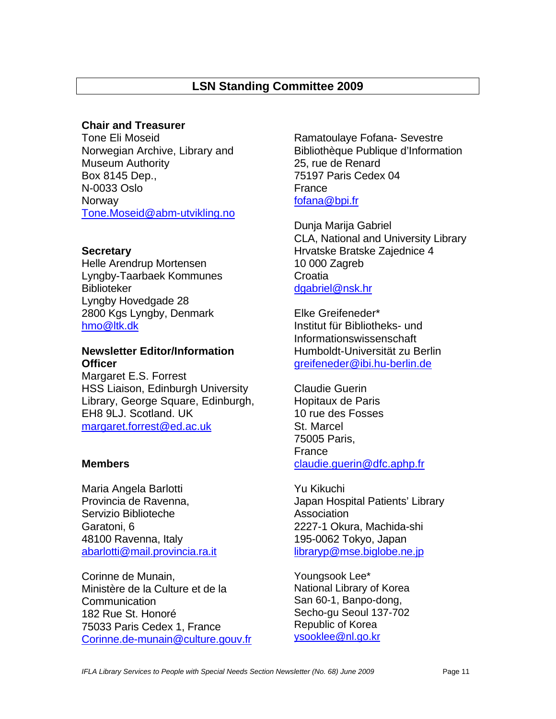# **LSN Standing Committee 2009**

#### **Chair and Treasurer**

Tone Eli Moseid Norwegian Archive, Library and Museum Authority Box 8145 Dep., N-0033 Oslo **Norway** [Tone.Moseid@abm-utvikling.no](mailto:Tone.Moseid@abm-utvikling.no)

#### **Secretary**

Helle Arendrup Mortensen Lyngby-Taarbaek Kommunes Biblioteker Lyngby Hovedgade 28 2800 Kgs Lyngby, Denmark [hmo@ltk.dk](mailto:hmo@ltk.dk)

### **Newsletter Editor/Information Officer**

Margaret E.S. Forrest HSS Liaison, Edinburgh University Library, George Square, Edinburgh, EH8 9LJ. Scotland. UK [margaret.forrest@ed.ac.uk](mailto:margaret.forrest@ed.ac.uk)

#### **Members**

Maria Angela Barlotti Provincia de Ravenna, Servizio Biblioteche Garatoni, 6 48100 Ravenna, Italy [abarlotti@mail.provincia.ra.it](mailto:abarlotti@mail.provincia.ra.it)

Corinne de Munain, Ministère de la Culture et de la Communication 182 Rue St. Honoré 75033 Paris Cedex 1, France [Corinne.de-munain@culture.gouv.fr](mailto:Corinne.de-murain@culture.gouv.fr) Ramatoulaye Fofana- Sevestre Bibliothèque Publique d'Information 25, rue de Renard 75197 Paris Cedex 04 France [fofana@bpi.fr](mailto:fofana@bpi.fr)

Dunja Marija Gabriel CLA, National and University Library Hrvatske Bratske Zajednice 4 10 000 Zagreb **Croatia** [dgabriel@nsk.hr](mailto:dgabriel@nsk.hr)

Elke Greifeneder\* Institut für Bibliotheks- und Informationswissenschaft Humboldt-Universität zu Berlin [greifeneder@ibi.hu-berlin.de](mailto:greifeneder@ibi.hu-berlin.de)

Claudie Guerin Hopitaux de Paris 10 rue des Fosses St. Marcel 75005 Paris, France claudie.guerin@dfc.aphp.fr

Yu Kikuchi Japan Hospital Patients' Library **Association** 2227-1 Okura, Machida-shi 195-0062 Tokyo, Japan [libraryp@mse.biglobe.ne.jp](mailto:libraryp@mse.biglobe.ne.jp)

Youngsook Lee\* National Library of Korea San 60-1, Banpo-dong, Secho-gu Seoul 137-702 Republic of Korea [ysooklee@nl.go.kr](mailto:ysooklee@nl.go.kr)